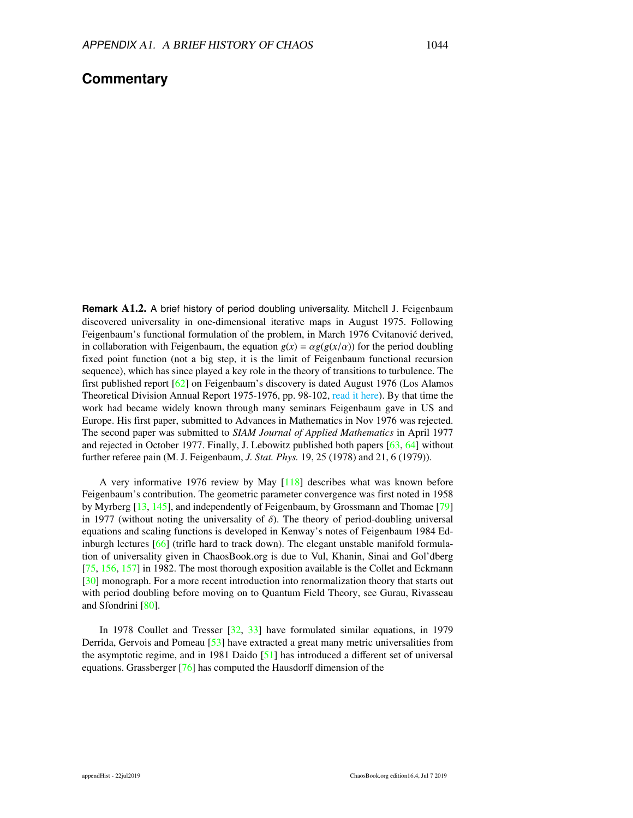## **Commentary**

**Remark** A1.2. A brief history of period doubling universality. Mitchell J. Feigenbaum discovered universality in one-dimensional iterative maps in August 1975. Following Feigenbaum's functional formulation of the problem, in March 1976 Cvitanović derived, in collaboration with Feigenbaum, the equation  $g(x) = \alpha g(g(x/\alpha))$  for the period doubling fixed point function (not a big step, it is the limit of Feigenbaum functional recursion sequence), which has since played a key role in the theory of transitions to turbulence. The first published report [\[62\]](#page-6-0) on Feigenbaum's discovery is dated August 1976 (Los Alamos Theoretical Division Annual Report 1975-1976, pp. 98-102, read it [here\).](http://chaosbook.org/extras/mjf/LA-6816-PR.pdf) By that time the work had became widely known through many seminars Feigenbaum gave in US and Europe. His first paper, submitted to Advances in Mathematics in Nov 1976 was rejected. The second paper was submitted to *SIAM Journal of Applied Mathematics* in April 1977 and rejected in October 1977. Finally, J. Lebowitz published both papers [\[63,](#page-7-0) 64] without further referee pain (M. J. Feigenbaum, *J. Stat. Phys.* 19, 25 (1978) and 21, 6 (1979)).

A very informative 1976 review by May [\[118\]](#page-10-0) describes what was known before Feigenbaum's contribution. The geometric parameter convergence was first noted in 1958 by Myrberg [\[13,](#page-4-0) [145\]](#page-11-0), and independently of Feigenbaum, by Grossmann and Thomae [\[79\]](#page-7-2) [in](#page-7-1) 1977 (without noting the universality of  $\delta$ ). The theory of period-doubling universal equations and scaling functions is developed in Kenway's notes of Feigenbaum 1984 Edinburgh lectures  $[66]$  (trifle hard to track down). The elegant unstable manifold formulation of universality given in ChaosBook.org is due to Vul, Khanin, Sinai and Gol'dberg [\[75,](#page-7-4) [156,](#page-12-0) [157\]](#page-12-1) in 1982. The most thorough exposition available is the Collet and Eckmann [\[30\]](#page-5-0) monograph. For a more recent introduction into renormalization theory that starts out with period doubling before moving on to Quantum Field Theory, see Gurau, Rivasseau and Sfondrini [\[80\].](#page-8-0)

In 1978 Coullet and Tresser [\[32,](#page-5-1) [33\]](#page-5-2) have formulated similar equations, in 1979 Derrida, Gervois and Pomeau [\[53\]](#page-6-1) have extracted a great many metric universalities from the asymptotic regime, and in 1981 Daido [\[51\]](#page-6-2) has introduced a different set of universal equations. Grassberger [\[76\]](#page-7-5) has computed the Hausdorff dimension of the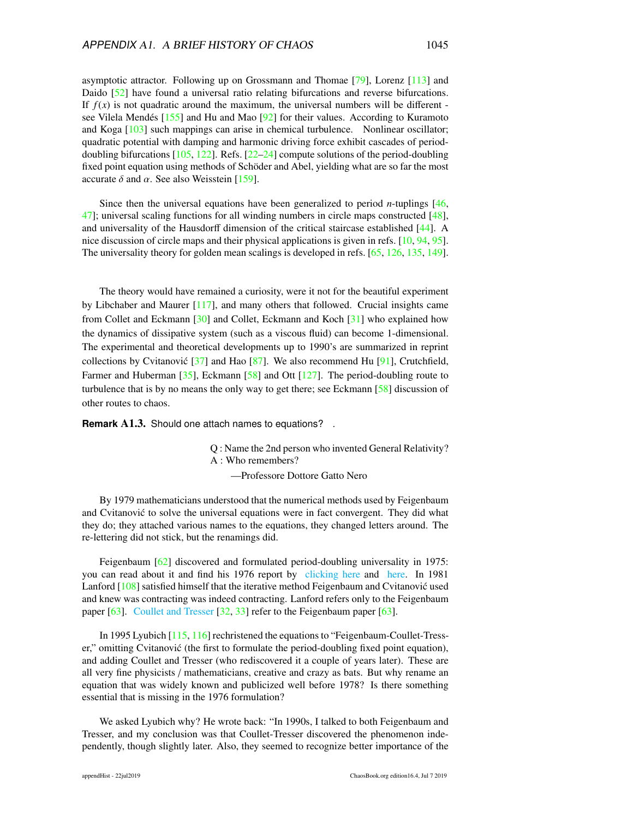asymptotic attractor. Following up on Grossmann and Thomae [\[79\]](#page-7-2), Lorenz [\[113\]](#page-9-0) and Daido [\[52\]](#page-6-3) have found a universal ratio relating bifurcations and reverse bifurcations. If  $f(x)$  is not quadratic around the maximum, the universal numbers will be different see Vilela Mendés  $[155]$  and Hu and Mao  $[92]$  for their values. According to Kuramoto and Koga [\[103\]](#page-9-1) such mappings can arise in chemical turbulence. Nonlinear oscillator; quadratic potential with damping and harmonic driving force exhibit cascades of perioddoubling bifurcations  $[105, 122]$  $[105, 122]$  $[105, 122]$ . Refs.  $[22–24]$  $[22–24]$  compute solutions of the period-doubling fixed point equation using methods of Schöder and Abel, yielding what are so far the most accurate  $\delta$  and  $\alpha$ . See also Weisstein [\[159\]](#page-12-3).

Since then the universal equations have been generalized to period *n*-tuplings [\[46,](#page-6-4) [47\]](#page-6-5); universal scaling functions for all winding numbers in circle maps constructed [\[48\]](#page-6-6), and universality of the Hausdorff dimension of the critical staircase established [\[44\]](#page-5-3). A nice discussion of circle maps and their physical applications is given in refs. [\[10,](#page-4-3) [94,](#page-8-2) [95\]](#page-8-3). The universality theory for golden mean scalings is developed in refs. [\[65,](#page-7-6) [126,](#page-10-2) [135,](#page-10-3) [149\]](#page-11-1).

The theory would have remained a curiosity, were it not for the beautiful experiment by Libchaber and Maurer [\[117\]](#page-9-3), and many others that followed. Crucial insights came from Collet and Eckmann [\[30\]](#page-5-0) and Collet, Eckmann and Koch [\[31\]](#page-5-4) who explained how the dynamics of dissipative system (such as a viscous fluid) can become 1-dimensional. The experimental and theoretical developments up to 1990's are summarized in reprint collections by Cvitanović  $[37]$  $[37]$  and Hao  $[87]$ . We also recommend Hu  $[91]$ , Crutchfield, Farmer and Huberman  $[35]$ , Eckmann  $[58]$  and Ott  $[127]$ . The period-doubling route to turbulence that is by no means the only way to get there; see Eckmann [\[58\]](#page-6-7) discussion of other routes to chaos.

**Remark** A1.3. Should one attach names to equations? .

Q : Name the 2nd person who invented General Relativity? A : Who remembers?

—Professore Dottore Gatto Nero

By 1979 mathematicians understood that the numerical methods used by Feigenbaum and Cvitanovic to solve the universal equations were in fact convergent. They did what ´ they do; they attached various names to the equations, they changed letters around. The re-lettering did not stick, but the renamings did.

Feigenbaum [\[62\]](#page-6-0) discovered and formulated period-doubling universality in 1975: you can read about it and find his 1976 report by [clicking here](http://www.cns.gatech.edu/~predrag/papers/preprints.html#Trans2chaos) and [here.](https://chaosbook.blogspot.com/1993/05/acceptance-speech-1993-nkt-research.html) In 1981 Lanford [\[108\]](#page-9-4) satisfied himself that the iterative method Feigenbaum and Cvitanovic used ´ and knew was contracting was indeed contracting. Lanford refers only to the Feigenbaum paper [\[63\]](#page-7-0). [Coullet and Tresser](http://hal.archives-ouvertes.fr/docs/00/21/74/80/PDF/ajp-jphyscol197839C513.pdf) [\[32,](#page-5-1) [33\]](#page-5-2) refer to the Feigenbaum paper [\[63\]](#page-7-0).

In 1995 Lyubich [\[115,](#page-9-5) [116\]](#page-9-6) rechristened the equations to "Feigenbaum-Coullet-Tresser," omitting Cvitanovic (the first to formulate the period-doubling fixed point equation), and adding Coullet and Tresser (who rediscovered it a couple of years later). These are all very fine physicists / mathematicians, creative and crazy as bats. But why rename an equation that was widely known and publicized well before 1978? Is there something essential that is missing in the 1976 formulation?

We asked Lyubich why? He wrote back: "In 1990s, I talked to both Feigenbaum and Tresser, and my conclusion was that Coullet-Tresser discovered the phenomenon independently, though slightly later. Also, they seemed to recognize better importance of the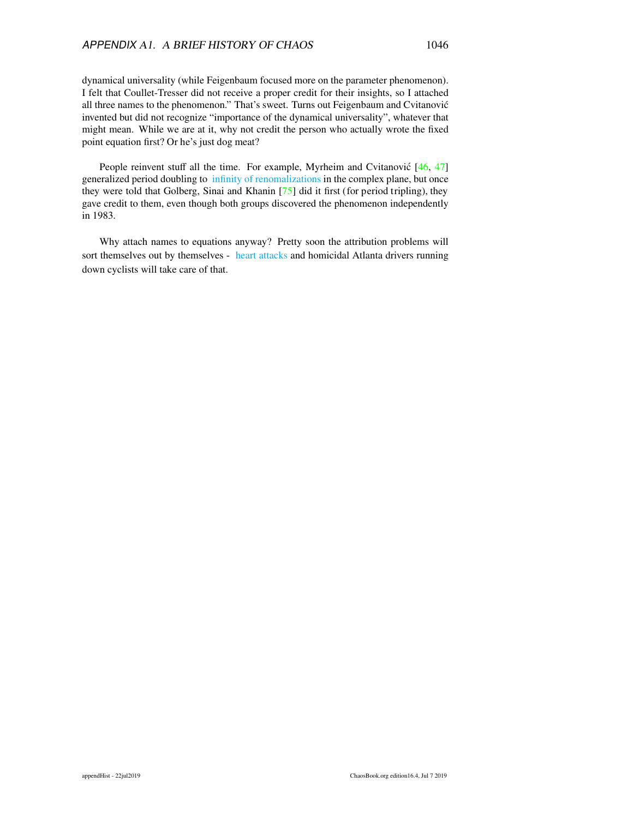dynamical universality (while Feigenbaum focused more on the parameter phenomenon). I felt that Coullet-Tresser did not receive a proper credit for their insights, so I attached all three names to the phenomenon." That's sweet. Turns out Feigenbaum and Cvitanovic´ invented but did not recognize "importance of the dynamical universality", whatever that might mean. While we are at it, why not credit the person who actually wrote the fixed point equation first? Or he's just dog meat?

People reinvent stuff all the time. For example, Myrheim and Cvitanović [\[46,](#page-6-4) [47\]](#page-6-5) generalized period doubling to infinity of [renomalizations](http://www.cns.gatech.edu/~predrag/papers/preprints.html#ComplexRenorm) in the complex plane, but once they were told that Golberg, Sinai and Khanin  $[75]$  did it first (for period tripling), they gave credit to them, even though both groups discovered the phenomenon independently in 1983.

Why attach names to equations anyway? Pretty soon the attribution problems will sort themselves out by themselves - heart [attacks](https://www.nytimes.com/2019/07/18/science/mitchell-feigenbaum-dead.html) and homicidal Atlanta drivers running down cyclists will take care of that.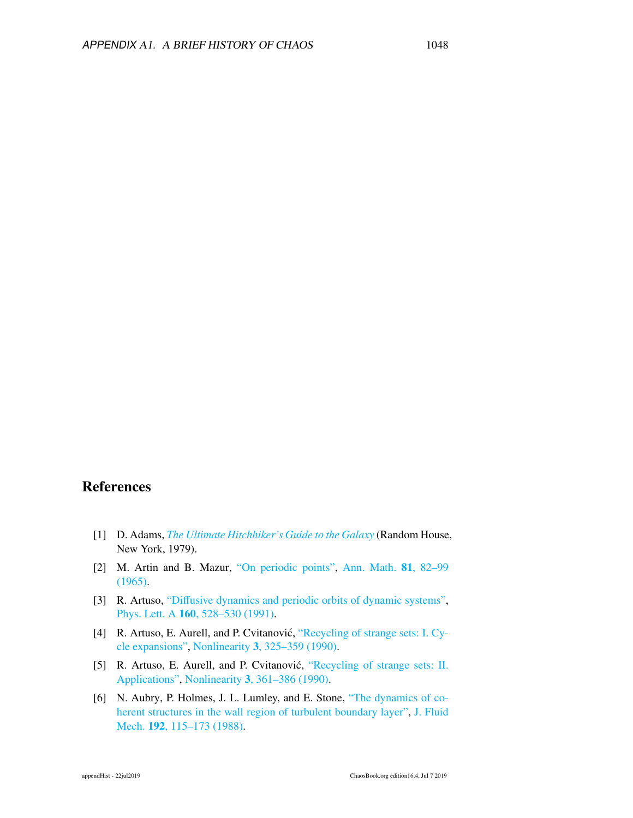## **References**

- [1] D. Adams, *[The Ultimate Hitchhiker's Guide to the Galaxy](http://books.google.com/books?vid=ISBN9780307498465)* (Random House, New York, 1979).
- [2] M. Artin and B. Mazur, ["On periodic points",](http://www.jstor.org/stable/1970384) [Ann. Math.](http://www.jstor.org/stable/1970384) 81, 82–99 [\(1965\).](http://www.jstor.org/stable/1970384)
- [3] R. Artuso, "Diff[usive dynamics and periodic orbits of dynamic systems",](http://dx.doi.org/10.1016/0375-9601(91)91062-I) Phys. Lett. A 160[, 528–530 \(1991\).](http://dx.doi.org/10.1016/0375-9601(91)91062-I)
- [4] R. Artuso, E. Aurell, and P. Cvitanović, ["Recycling of strange sets: I. Cy](http://dx.doi.org/10.1088/0951-7715/3/2/005)[cle expansions",](http://dx.doi.org/10.1088/0951-7715/3/2/005) Nonlinearity 3[, 325–359 \(1990\).](http://dx.doi.org/10.1088/0951-7715/3/2/005)
- [5] R. Artuso, E. Aurell, and P. Cvitanović, ["Recycling of strange sets: II.](http://dx.doi.org/10.1088/0951-7715/3/2/006) [Applications",](http://dx.doi.org/10.1088/0951-7715/3/2/006) Nonlinearity 3[, 361–386 \(1990\).](http://dx.doi.org/10.1088/0951-7715/3/2/006)
- [6] N. Aubry, P. Holmes, J. L. Lumley, and E. Stone, ["The dynamics of co](http://dx.doi.org/10.1017/S0022112088001818)[herent structures in the wall region of turbulent boundary layer",](http://dx.doi.org/10.1017/S0022112088001818) [J. Fluid](http://dx.doi.org/10.1017/S0022112088001818) Mech. 192[, 115–173 \(1988\).](http://dx.doi.org/10.1017/S0022112088001818)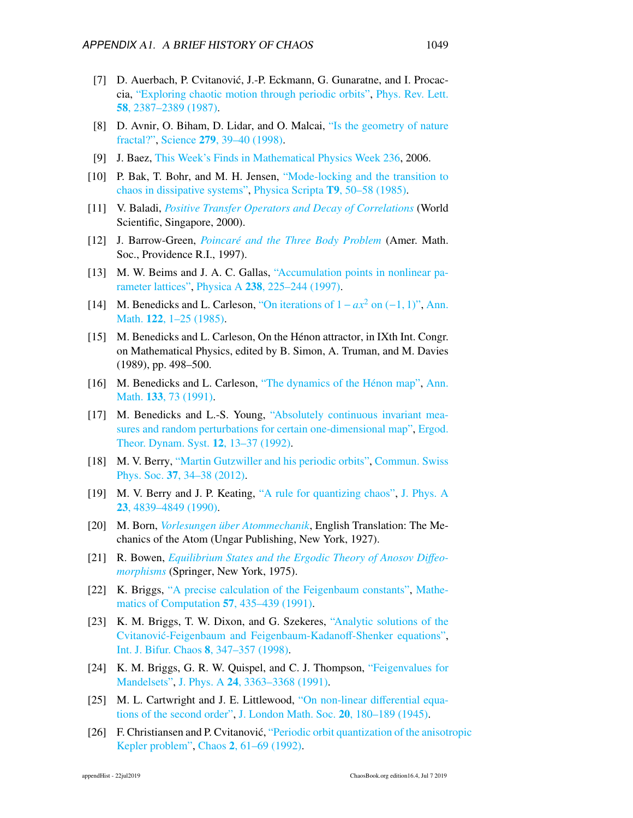- [7] D. Auerbach, P. Cvitanović, J.-P. Eckmann, G. Gunaratne, and I. Procaccia, ["Exploring chaotic motion through periodic orbits",](http://dx.doi.org/10.1103/PhysRevLett.58.2387) [Phys. Rev. Lett.](http://dx.doi.org/10.1103/PhysRevLett.58.2387) 58[, 2387–2389 \(1987\).](http://dx.doi.org/10.1103/PhysRevLett.58.2387)
- [8] D. Avnir, O. Biham, D. Lidar, and O. Malcai, ["Is the geometry of nature](http://dx.doi.org/10.1126/science.279.5347.39) [fractal?",](http://dx.doi.org/10.1126/science.279.5347.39) Science 279[, 39–40 \(1998\).](http://dx.doi.org/10.1126/science.279.5347.39)
- [9] J. Baez, [This Week's Finds in Mathematical Physics Week 236,](http://sci.tech-archive.net/Archive/sci.physics.research/msg00062.html) 2006.
- <span id="page-4-3"></span>[10] P. Bak, T. Bohr, and M. H. Jensen, ["Mode-locking and the transition to](http://dx.doi.org/10.1088/0031-8949/1985/T9/007) [chaos in dissipative systems",](http://dx.doi.org/10.1088/0031-8949/1985/T9/007) [Physica Scripta](http://dx.doi.org/10.1088/0031-8949/1985/T9/007) T9, 50–58 (1985).
- [11] V. Baladi, *[Positive Transfer Operators and Decay of Correlations](http://dx.doi.org/10.1142/9789812813633)* (World Scientific, Singapore, 2000).
- [12] J. Barrow-Green, *[Poincaré and the Three Body Problem](http://books.google.com/books?vid=ISBN9780821803677)* (Amer. Math. Soc., Providence R.I., 1997).
- <span id="page-4-0"></span>[13] M. W. Beims and J. A. C. Gallas, ["Accumulation points in nonlinear pa](http://dx.doi.org/10.1016/s0378-4371(96)00451-7)[rameter lattices",](http://dx.doi.org/10.1016/s0378-4371(96)00451-7) Physica A 238[, 225–244 \(1997\).](http://dx.doi.org/10.1016/s0378-4371(96)00451-7)
- [14] M. Benedicks and L. Carleson, ["On iterations of 1](http://dx.doi.org/10.2307/1971367)−*ax*<sup>2</sup> on (−1, 1)", [Ann.](http://dx.doi.org/10.2307/1971367) Math. 122[, 1–25 \(1985\).](http://dx.doi.org/10.2307/1971367)
- [15] M. Benedicks and L. Carleson, On the Hénon attractor, in IXth Int. Congr. on Mathematical Physics, edited by B. Simon, A. Truman, and M. Davies (1989), pp. 498–500.
- [16] M. Benedicks and L. Carleson, ["The dynamics of the Hénon map",](http://dx.doi.org/10.2307/2944326) [Ann.](http://dx.doi.org/10.2307/2944326) Math. 133[, 73 \(1991\).](http://dx.doi.org/10.2307/2944326)
- [17] M. Benedicks and L.-S. Young, ["Absolutely continuous invariant mea](http://dx.doi.org/10.1017/S0143385700006556)[sures and random perturbations for certain one-dimensional map",](http://dx.doi.org/10.1017/S0143385700006556) [Ergod.](http://dx.doi.org/10.1017/S0143385700006556) [Theor. Dynam. Syst.](http://dx.doi.org/10.1017/S0143385700006556) 12, 13–37 (1992).
- [18] M. V. Berry, ["Martin Gutzwiller and his periodic orbits",](http://www.sps.ch/fileadmin/_migrated/content_uploads/Mitteilungen.37.pdf) [Commun. Swiss](http://www.sps.ch/fileadmin/_migrated/content_uploads/Mitteilungen.37.pdf) Phys. Soc. 37[, 34–38 \(2012\).](http://www.sps.ch/fileadmin/_migrated/content_uploads/Mitteilungen.37.pdf)
- [19] M. V. Berry and J. P. Keating, ["A rule for quantizing chaos",](http://dx.doi.org/10.1088/0305-4470/23/21/024) [J. Phys. A](http://dx.doi.org/10.1088/0305-4470/23/21/024) 23[, 4839–4849 \(1990\).](http://dx.doi.org/10.1088/0305-4470/23/21/024)
- [20] M. Born, *[Vorlesungen über Atommechanik](http://dx.doi.org/10.1007/978-3-642-61898-7)*, English Translation: The Mechanics of the Atom (Ungar Publishing, New York, 1927).
- [21] R. Bowen, *[Equilibrium States and the Ergodic Theory of Anosov Di](http://dx.doi.org/10.1007/bfb0081279)*ff*eo[morphisms](http://dx.doi.org/10.1007/bfb0081279)* (Springer, New York, 1975).
- <span id="page-4-1"></span>[22] K. Briggs, ["A precise calculation of the Feigenbaum constants",](http://dx.doi.org/10.1090/S0025-5718-1991-1079009-6) [Mathe](http://dx.doi.org/10.1090/S0025-5718-1991-1079009-6)[matics of Computation](http://dx.doi.org/10.1090/S0025-5718-1991-1079009-6) 57, 435–439 (1991).
- [23] K. M. Briggs, T. W. Dixon, and G. Szekeres, ["Analytic solutions of the](http://dx.doi.org/10.1142/S0218127498000206) Cvitanović-Feigenbaum and Feigenbaum-Kadanoff-Shenker equations", [Int. J. Bifur. Chaos](http://dx.doi.org/10.1142/S0218127498000206) 8, 347–357 (1998).
- <span id="page-4-2"></span>[24] K. M. Briggs, G. R. W. Quispel, and C. J. Thompson, ["Feigenvalues for](http://dx.doi.org/10.1088/0305-4470/24/14/023) [Mandelsets",](http://dx.doi.org/10.1088/0305-4470/24/14/023) J. Phys. A 24[, 3363–3368 \(1991\).](http://dx.doi.org/10.1088/0305-4470/24/14/023)
- [25] M. L. Cartwright and J. E. Littlewood, ["On non-linear di](http://dx.doi.org/10.1112/jlms/s1-20.3.180)fferential equa[tions of the second order",](http://dx.doi.org/10.1112/jlms/s1-20.3.180) [J. London Math. Soc.](http://dx.doi.org/10.1112/jlms/s1-20.3.180) 20, 180–189 (1945).
- [26] F. Christiansen and P. Cvitanović, ["Periodic orbit quantization of the anisotr](http://dx.doi.org/10.1063/1.165899)opic [Kepler problem",](http://dx.doi.org/10.1063/1.165899) Chaos 2[, 61–69 \(1992\).](http://dx.doi.org/10.1063/1.165899)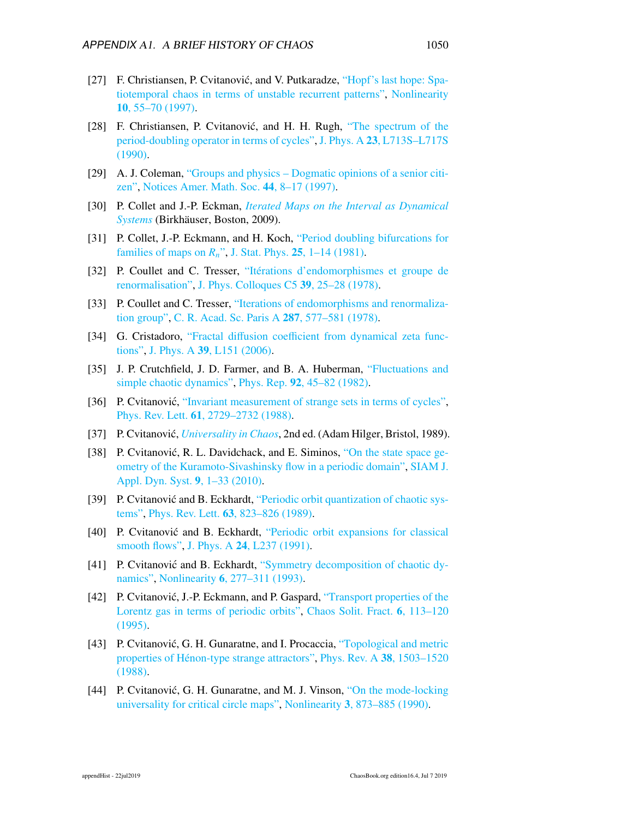- [27] F. Christiansen, P. Cvitanović, and V. Putkaradze, ["Hopf's last hope: Spa](http://dx.doi.org/10.1088/0951-7715/10/1/004)[tiotemporal chaos in terms of unstable recurrent patterns",](http://dx.doi.org/10.1088/0951-7715/10/1/004) [Nonlinearity](http://dx.doi.org/10.1088/0951-7715/10/1/004) 10[, 55–70 \(1997\).](http://dx.doi.org/10.1088/0951-7715/10/1/004)
- [28] F. Christiansen, P. Cvitanović, and H. H. Rugh, ["The spectrum of the](http://dx.doi.org/10.1088/0305-4470/23/14/005) [period-doubling operator in terms of cycles",](http://dx.doi.org/10.1088/0305-4470/23/14/005) J. Phys. A 23[, L713S–L717S](http://dx.doi.org/10.1088/0305-4470/23/14/005) [\(1990\).](http://dx.doi.org/10.1088/0305-4470/23/14/005)
- [29] A. J. Coleman, ["Groups and physics Dogmatic opinions of a senior citi](http://www.ams.org/notices/199701/coleman.pdf)[zen",](http://www.ams.org/notices/199701/coleman.pdf) [Notices Amer. Math. Soc.](http://www.ams.org/notices/199701/coleman.pdf) 44, 8–17 (1997).
- <span id="page-5-0"></span>[30] P. Collet and J.-P. Eckman, *[Iterated Maps on the Interval as Dynamical](http://dx.doi.org/10.1007/978-0-8176-4927-2) [Systems](http://dx.doi.org/10.1007/978-0-8176-4927-2)* (Birkhäuser, Boston, 2009).
- <span id="page-5-4"></span>[31] P. Collet, J.-P. Eckmann, and H. Koch, ["Period doubling bifurcations for](http://dx.doi.org/10.1201/9780203734636-37) [families of maps on](http://dx.doi.org/10.1201/9780203734636-37) *Rn*", J. Stat. Phys. 25[, 1–14 \(1981\).](http://dx.doi.org/10.1201/9780203734636-37)
- <span id="page-5-1"></span>[32] P. Coullet and C. Tresser, ["Itérations d'endomorphismes et groupe de](https://hal.archives-ouvertes.fr/jpa-00217480) [renormalisation",](https://hal.archives-ouvertes.fr/jpa-00217480) [J. Phys. Colloques C5](https://hal.archives-ouvertes.fr/jpa-00217480) 39, 25–28 (1978).
- <span id="page-5-2"></span>[33] P. Coullet and C. Tresser, ["Iterations of endomorphisms and renormaliza](http://gallica.bnf.fr/ark:/12148/bpt6k6238948x/f107.image.r=Tresser%20Coullet%20Hebdomadaires%201978?rk=21459;2)[tion group",](http://gallica.bnf.fr/ark:/12148/bpt6k6238948x/f107.image.r=Tresser%20Coullet%20Hebdomadaires%201978?rk=21459;2) [C. R. Acad. Sc. Paris A](http://gallica.bnf.fr/ark:/12148/bpt6k6238948x/f107.image.r=Tresser%20Coullet%20Hebdomadaires%201978?rk=21459;2) 287, 577–581 (1978).
- [34] G. Cristadoro, "Fractal diffusion coeffi[cient from dynamical zeta func](http://dx.doi.org/10.1088/0305-4470/39/10/L01)[tions",](http://dx.doi.org/10.1088/0305-4470/39/10/L01) J. Phys. A 39[, L151 \(2006\).](http://dx.doi.org/10.1088/0305-4470/39/10/L01)
- <span id="page-5-6"></span>[35] J. P. Crutchfield, J. D. Farmer, and B. A. Huberman, ["Fluctuations and](http://dx.doi.org/10.1016/0370-1573(82)90089-8) [simple chaotic dynamics",](http://dx.doi.org/10.1016/0370-1573(82)90089-8) Phys. Rep. 92[, 45–82 \(1982\).](http://dx.doi.org/10.1016/0370-1573(82)90089-8)
- [36] P. Cvitanović, ["Invariant measurement of strange sets in terms of cycles",](http://dx.doi.org/10.1103/PhysRevLett.61.2729) Phys. Rev. Lett. 61[, 2729–2732 \(1988\).](http://dx.doi.org/10.1103/PhysRevLett.61.2729)
- <span id="page-5-5"></span>[37] P. Cvitanovic,´ *[Universality in Chaos](http://dx.doi.org/10.1201/9780203734636)*, 2nd ed. (Adam Hilger, Bristol, 1989).
- [38] P. Cvitanović, R. L. Davidchack, and E. Siminos, ["On the state space ge](http://dx.doi.org/10.1137/070705623)[ometry of the Kuramoto-Sivashinsky flow in a periodic domain",](http://dx.doi.org/10.1137/070705623) [SIAM J.](http://dx.doi.org/10.1137/070705623) [Appl. Dyn. Syst.](http://dx.doi.org/10.1137/070705623) 9, 1–33 (2010).
- [39] P. Cvitanović and B. Eckhardt, ["Periodic orbit quantization of chaotic sys](http://dx.doi.org/10.1103/PhysRevLett.63.823)[tems",](http://dx.doi.org/10.1103/PhysRevLett.63.823) Phys. Rev. Lett. 63[, 823–826 \(1989\).](http://dx.doi.org/10.1103/PhysRevLett.63.823)
- [40] P. Cvitanović and B. Eckhardt, ["Periodic orbit expansions for classical](http://dx.doi.org/10.1088/0305-4470/24/5/005) [smooth flows",](http://dx.doi.org/10.1088/0305-4470/24/5/005) J. Phys. A 24[, L237 \(1991\).](http://dx.doi.org/10.1088/0305-4470/24/5/005)
- [41] P. Cvitanović and B. Eckhardt, ["Symmetry decomposition of chaotic dy](http://dx.doi.org/10.1088/0951-7715/6/2/008)[namics",](http://dx.doi.org/10.1088/0951-7715/6/2/008) Nonlinearity 6[, 277–311 \(1993\).](http://dx.doi.org/10.1088/0951-7715/6/2/008)
- [42] P. Cvitanović, J.-P. Eckmann, and P. Gaspard, ["Transport properties of the](http://dx.doi.org/10.1016/0960-0779(95)80018-C) [Lorentz gas in terms of periodic orbits",](http://dx.doi.org/10.1016/0960-0779(95)80018-C) [Chaos Solit. Fract.](http://dx.doi.org/10.1016/0960-0779(95)80018-C) 6, 113–120 [\(1995\).](http://dx.doi.org/10.1016/0960-0779(95)80018-C)
- [43] P. Cvitanović, G. H. Gunaratne, and I. Procaccia, ["Topological and metric](http://dx.doi.org/10.1103/PhysRevA.38.1503) [properties of Hénon-type strange attractors",](http://dx.doi.org/10.1103/PhysRevA.38.1503) [Phys. Rev. A](http://dx.doi.org/10.1103/PhysRevA.38.1503) 38, 1503–1520 [\(1988\).](http://dx.doi.org/10.1103/PhysRevA.38.1503)
- <span id="page-5-3"></span>[44] P. Cvitanović, G. H. Gunaratne, and M. J. Vinson, ["On the mode-locking](http://dx.doi.org/10.1088/0951-7715/3/3/015) [universality for critical circle maps",](http://dx.doi.org/10.1088/0951-7715/3/3/015) Nonlinearity 3[, 873–885 \(1990\).](http://dx.doi.org/10.1088/0951-7715/3/3/015)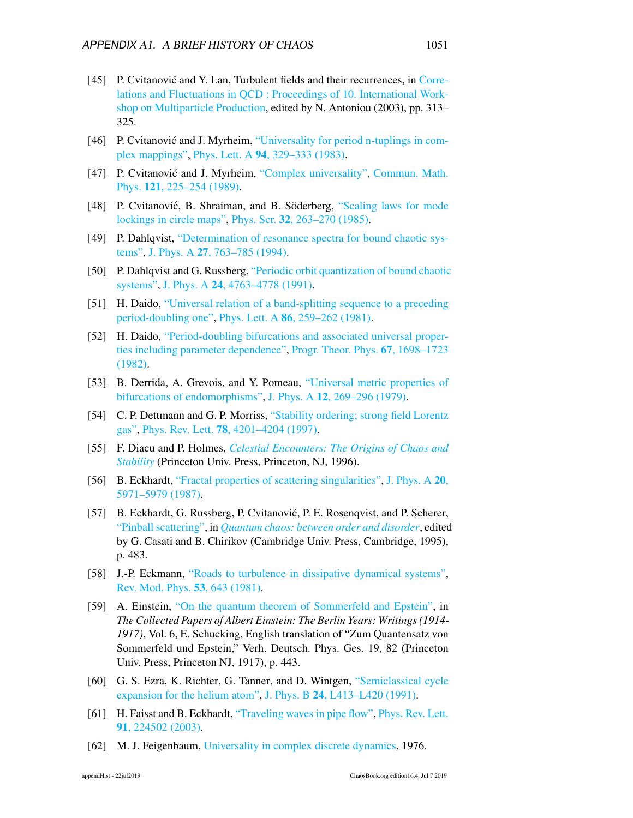- [45] P. Cvitanović and Y. Lan, Turbulent fields and their recurrences, in [Corre](http://dx.doi.org/10.1142/9789812704641_0032)[lations and Fluctuations in QCD : Proceedings of 10. International Work](http://dx.doi.org/10.1142/9789812704641_0032)[shop on Multiparticle Production,](http://dx.doi.org/10.1142/9789812704641_0032) edited by N. Antoniou (2003), pp. 313– 325.
- <span id="page-6-4"></span>[46] P. Cvitanović and J. Myrheim, ["Universality for period n-tuplings in com](http://dx.doi.org/10.1016/0375-9601(83)90121-4)[plex mappings",](http://dx.doi.org/10.1016/0375-9601(83)90121-4) Phys. Lett. A 94[, 329–333 \(1983\).](http://dx.doi.org/10.1016/0375-9601(83)90121-4)
- <span id="page-6-5"></span>[47] P. Cvitanović and J. Myrheim, ["Complex universality",](http://dx.doi.org/10.1007/BF01217804) [Commun. Math.](http://dx.doi.org/10.1007/BF01217804) Phys. 121[, 225–254 \(1989\).](http://dx.doi.org/10.1007/BF01217804)
- <span id="page-6-6"></span>[48] P. Cvitanović, B. Shraiman, and B. Söderberg, ["Scaling laws for mode](http://dx.doi.org/10.1088/0031-8949/32/4/003) [lockings in circle maps",](http://dx.doi.org/10.1088/0031-8949/32/4/003) Phys. Scr. 32[, 263–270 \(1985\).](http://dx.doi.org/10.1088/0031-8949/32/4/003)
- [49] P. Dahlqvist, ["Determination of resonance spectra for bound chaotic sys](http://dx.doi.org/10.1088/0305-4470/27/3/020)[tems",](http://dx.doi.org/10.1088/0305-4470/27/3/020) J. Phys. A 27[, 763–785 \(1994\).](http://dx.doi.org/10.1088/0305-4470/27/3/020)
- [50] P. Dahlqvist and G. Russberg, ["Periodic orbit quantization of bound chaotic](http://dx.doi.org/10.1088/0305-4470/24/20/012) [systems",](http://dx.doi.org/10.1088/0305-4470/24/20/012) J. Phys. A 24[, 4763–4778 \(1991\).](http://dx.doi.org/10.1088/0305-4470/24/20/012)
- <span id="page-6-2"></span>[51] H. Daido, ["Universal relation of a band-splitting sequence to a preceding](http://dx.doi.org/10.1016/0375-9601(81)90360-1) [period-doubling one",](http://dx.doi.org/10.1016/0375-9601(81)90360-1) Phys. Lett. A 86[, 259–262 \(1981\).](http://dx.doi.org/10.1016/0375-9601(81)90360-1)
- <span id="page-6-3"></span>[52] H. Daido, ["Period-doubling bifurcations and associated universal proper](http://dx.doi.org/10.1143/ptp.67.1698)[ties including parameter dependence",](http://dx.doi.org/10.1143/ptp.67.1698) [Progr. Theor. Phys.](http://dx.doi.org/10.1143/ptp.67.1698) 67, 1698–1723 [\(1982\).](http://dx.doi.org/10.1143/ptp.67.1698)
- <span id="page-6-1"></span>[53] B. Derrida, A. Grevois, and Y. Pomeau, ["Universal metric properties of](http://dx.doi.org/10.1088/0305-4470/12/3/004) [bifurcations of endomorphisms",](http://dx.doi.org/10.1088/0305-4470/12/3/004) J. Phys. A 12[, 269–296 \(1979\).](http://dx.doi.org/10.1088/0305-4470/12/3/004)
- [54] C. P. Dettmann and G. P. Morriss, ["Stability ordering; strong field Lorentz](http://dx.doi.org/10.1103/PhysRevLett.78.4201) [gas",](http://dx.doi.org/10.1103/PhysRevLett.78.4201) Phys. Rev. Lett. 78[, 4201–4204 \(1997\).](http://dx.doi.org/10.1103/PhysRevLett.78.4201)
- [55] F. Diacu and P. Holmes, *[Celestial Encounters: The Origins of Chaos and](http://books.google.com/books?vid=ISBN9780691005454) [Stability](http://books.google.com/books?vid=ISBN9780691005454)* (Princeton Univ. Press, Princeton, NJ, 1996).
- [56] B. Eckhardt, ["Fractal properties of scattering singularities",](http://dx.doi.org/10.1088/0305-4470/20/17/030) [J. Phys. A](http://dx.doi.org/10.1088/0305-4470/20/17/030) 20, [5971–5979 \(1987\).](http://dx.doi.org/10.1088/0305-4470/20/17/030)
- [57] B. Eckhardt, G. Russberg, P. Cvitanović, P. E. Rosenqvist, and P. Scherer, ["Pinball scattering",](http://chaosbook.org/~predrag/papers/preprints.html#CERRS) in *[Quantum chaos: between order and disorder](http://chaosbook.org/~predrag/papers/preprints.html#CERRS)*, edited by G. Casati and B. Chirikov (Cambridge Univ. Press, Cambridge, 1995), p. 483.
- <span id="page-6-7"></span>[58] J.-P. Eckmann, ["Roads to turbulence in dissipative dynamical systems",](http://dx.doi.org/10.1103/revmodphys.53.643) [Rev. Mod. Phys.](http://dx.doi.org/10.1103/revmodphys.53.643) 53, 643 (1981).
- [59] A. Einstein, ["On the quantum theorem of Sommerfeld and Epstein",](http://books.google.com/books?vid=ISBN9780691017341) in *The Collected Papers of Albert Einstein: The Berlin Years: Writings (1914- 1917)*, Vol. 6, E. Schucking, English translation of "Zum Quantensatz von Sommerfeld und Epstein," Verh. Deutsch. Phys. Ges. 19, 82 (Princeton Univ. Press, Princeton NJ, 1917), p. 443.
- [60] G. S. Ezra, K. Richter, G. Tanner, and D. Wintgen, ["Semiclassical cycle](http://dx.doi.org/10.1088/0953-4075/24/17/001) [expansion for the helium atom",](http://dx.doi.org/10.1088/0953-4075/24/17/001) J. Phys. B 24[, L413–L420 \(1991\).](http://dx.doi.org/10.1088/0953-4075/24/17/001)
- [61] H. Faisst and B. Eckhardt, ["Traveling waves in pipe flow",](http://dx.doi.org/10.1103/PhysRevLett.91.224502) [Phys. Rev. Lett.](http://dx.doi.org/10.1103/PhysRevLett.91.224502) 91[, 224502 \(2003\).](http://dx.doi.org/10.1103/PhysRevLett.91.224502)
- <span id="page-6-0"></span>[62] M. J. Feigenbaum, [Universality in complex discrete dynamics,](http://ChaosBook.org/extras/mjf/LA-6816-PR.pdf) 1976.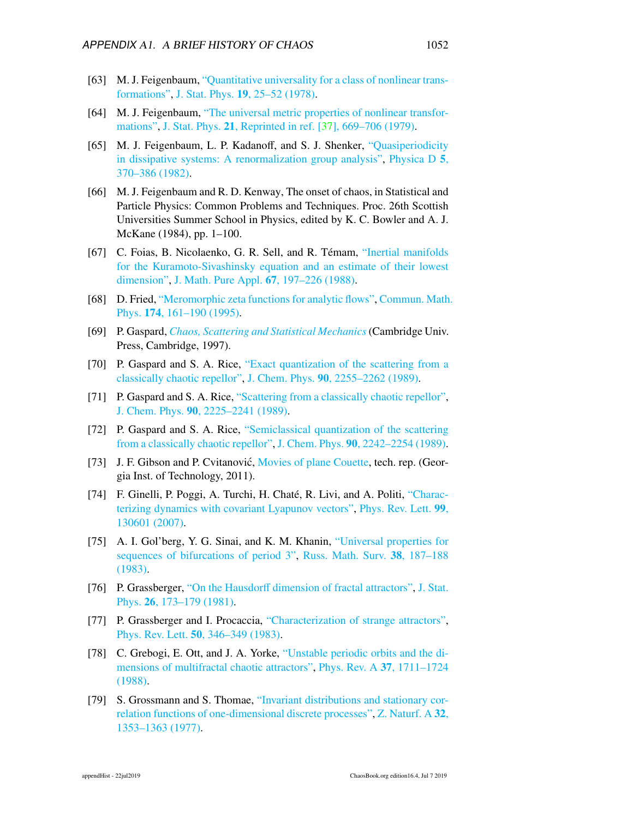- <span id="page-7-0"></span>[63] M. J. Feigenbaum, ["Quantitative universality for a class of nonlinear trans](http://dx.doi.org/10.1007/BF01020332)[formations",](http://dx.doi.org/10.1007/BF01020332) J. Stat. Phys. 19[, 25–52 \(1978\).](http://dx.doi.org/10.1007/BF01020332)
- <span id="page-7-1"></span>[64] M. J. Feigenbaum, ["The universal metric properties of nonlinear transfor](http://dx.doi.org/10.1007/BF01107909)[mations",](http://dx.doi.org/10.1007/BF01107909) J. Stat. Phys. 21[, Reprinted in ref. \[37\], 669–706 \(1979\).](http://dx.doi.org/10.1007/BF01107909)
- <span id="page-7-6"></span>[65] M. J. Feigenbaum, L. P. Kadanoff, and S. J. Shenker, ["Quasiperiodicity](http://dx.doi.org/10.1016/0167-2789(82)90030-6) [in dissipative systems: A renormalization group analysis",](http://dx.doi.org/10.1016/0167-2789(82)90030-6) [Physica D](http://dx.doi.org/10.1016/0167-2789(82)90030-6) 5, [370–386 \(1982\).](http://dx.doi.org/10.1016/0167-2789(82)90030-6)
- <span id="page-7-3"></span>[66] M. J. Feigenbaum and R. D. Kenway, The onset of chaos, in Statistical and Particle Physics: Common Problems and Techniques. Proc. 26th Scottish Universities Summer School in Physics, edited by K. C. Bowler and A. J. McKane (1984), pp. 1–100.
- [67] C. Foias, B. Nicolaenko, G. R. Sell, and R. Témam, ["Inertial manifolds](http://purl.umn.edu/4494) [for the Kuramoto-Sivashinsky equation and an estimate of their lowest](http://purl.umn.edu/4494) [dimension",](http://purl.umn.edu/4494) [J. Math. Pure Appl.](http://purl.umn.edu/4494) 67, 197–226 (1988).
- [68] D. Fried, ["Meromorphic zeta functions for analytic flows",](http://dx.doi.org/10.1007/bf02099469) [Commun. Math](http://dx.doi.org/10.1007/bf02099469). Phys. 174[, 161–190 \(1995\).](http://dx.doi.org/10.1007/bf02099469)
- [69] P. Gaspard, *[Chaos, Scattering and Statistical Mechanics](http://books.google.com/books?vid=ISBN9780521018258)*(Cambridge Univ. Press, Cambridge, 1997).
- [70] P. Gaspard and S. A. Rice, ["Exact quantization of the scattering from a](http://dx.doi.org/10.1063/1.456019) [classically chaotic repellor",](http://dx.doi.org/10.1063/1.456019) J. Chem. Phys. 90[, 2255–2262 \(1989\).](http://dx.doi.org/10.1063/1.456019)
- [71] P. Gaspard and S. A. Rice, ["Scattering from a classically chaotic repellor",](http://dx.doi.org/10.1063/1.456017) J. Chem. Phys. 90[, 2225–2241 \(1989\).](http://dx.doi.org/10.1063/1.456017)
- [72] P. Gaspard and S. A. Rice, ["Semiclassical quantization of the scattering](http://dx.doi.org/10.1063/1.456018) [from a classically chaotic repellor",](http://dx.doi.org/10.1063/1.456018) J. Chem. Phys. 90[, 2242–2254 \(1989\).](http://dx.doi.org/10.1063/1.456018)
- [73] J. F. Gibson and P. Cvitanović, [Movies of plane Couette,](http://ChaosBook.org/tutorials) tech. rep. (Georgia Inst. of Technology, 2011).
- [74] F. Ginelli, P. Poggi, A. Turchi, H. Chaté, R. Livi, and A. Politi, ["Charac](http://dx.doi.org/10.1103/PhysRevLett.99.130601)[terizing dynamics with covariant Lyapunov vectors",](http://dx.doi.org/10.1103/PhysRevLett.99.130601) [Phys. Rev. Lett.](http://dx.doi.org/10.1103/PhysRevLett.99.130601) 99, [130601 \(2007\).](http://dx.doi.org/10.1103/PhysRevLett.99.130601)
- <span id="page-7-4"></span>[75] A. I. Gol'berg, Y. G. Sinai, and K. M. Khanin, ["Universal properties for](http://dx.doi.org/10.1070/RM1983v038n01ABEH003398) [sequences of bifurcations of period 3",](http://dx.doi.org/10.1070/RM1983v038n01ABEH003398) [Russ. Math. Surv.](http://dx.doi.org/10.1070/RM1983v038n01ABEH003398) 38, 187–188 [\(1983\).](http://dx.doi.org/10.1070/RM1983v038n01ABEH003398)
- <span id="page-7-5"></span>[76] P. Grassberger, "On the Hausdorff [dimension of fractal attractors",](http://dx.doi.org/10.1007/bf01106792) [J. Stat.](http://dx.doi.org/10.1007/bf01106792) Phys. 26[, 173–179 \(1981\).](http://dx.doi.org/10.1007/bf01106792)
- [77] P. Grassberger and I. Procaccia, ["Characterization of strange attractors",](http://dx.doi.org/10.1103/PhysRevLett.50.346) Phys. Rev. Lett. 50[, 346–349 \(1983\).](http://dx.doi.org/10.1103/PhysRevLett.50.346)
- [78] C. Grebogi, E. Ott, and J. A. Yorke, ["Unstable periodic orbits and the di](http://dx.doi.org/10.1103/PhysRevA.37.1711)[mensions of multifractal chaotic attractors",](http://dx.doi.org/10.1103/PhysRevA.37.1711) [Phys. Rev. A](http://dx.doi.org/10.1103/PhysRevA.37.1711) 37, 1711–1724 [\(1988\).](http://dx.doi.org/10.1103/PhysRevA.37.1711)
- <span id="page-7-2"></span>[79] S. Grossmann and S. Thomae, ["Invariant distributions and stationary cor](http://dx.doi.org/10.1515/zna-1977-1204)[relation functions of one-dimensional discrete processes",](http://dx.doi.org/10.1515/zna-1977-1204) [Z. Naturf. A](http://dx.doi.org/10.1515/zna-1977-1204) 32, [1353–1363 \(1977\).](http://dx.doi.org/10.1515/zna-1977-1204)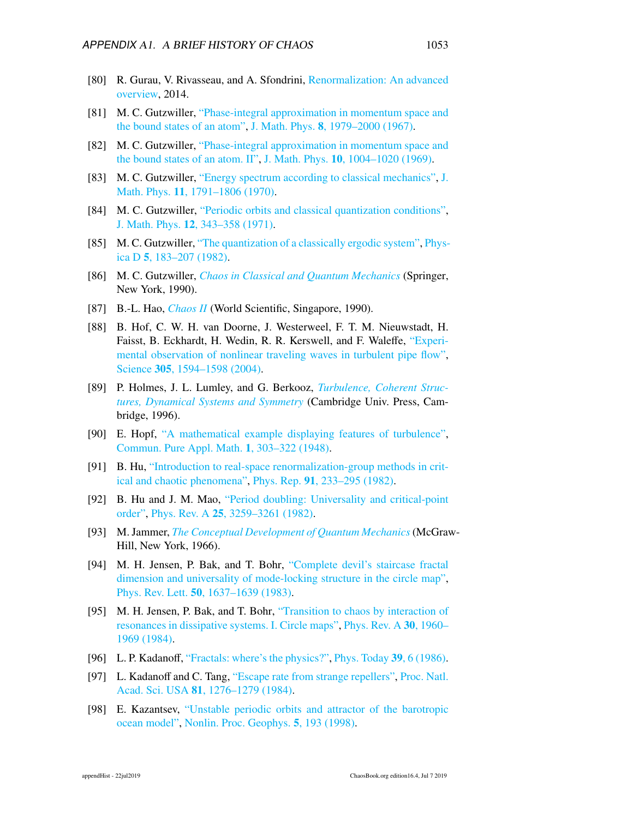- <span id="page-8-0"></span>[80] R. Gurau, V. Rivasseau, and A. Sfondrini, [Renormalization: An advanced](https://arxiv.org/abs/1401.5003) [overview,](https://arxiv.org/abs/1401.5003) 2014.
- [81] M. C. Gutzwiller, ["Phase-integral approximation in momentum space and](http://dx.doi.org/10.1063/1.1705112) [the bound states of an atom",](http://dx.doi.org/10.1063/1.1705112) J. Math. Phys. 8[, 1979–2000 \(1967\).](http://dx.doi.org/10.1063/1.1705112)
- [82] M. C. Gutzwiller, ["Phase-integral approximation in momentum space and](http://dx.doi.org/10.1063/1.1664927) [the bound states of an atom. II",](http://dx.doi.org/10.1063/1.1664927) J. Math. Phys. 10[, 1004–1020 \(1969\).](http://dx.doi.org/10.1063/1.1664927)
- [83] M. C. Gutzwiller, ["Energy spectrum according to classical mechanics",](http://dx.doi.org/10.1063/1.1665328) [J.](http://dx.doi.org/10.1063/1.1665328) Math. Phys. 11[, 1791–1806 \(1970\).](http://dx.doi.org/10.1063/1.1665328)
- [84] M. C. Gutzwiller, ["Periodic orbits and classical quantization conditions",](http://dx.doi.org/10.1063/1.1665596) J. Math. Phys. 12[, 343–358 \(1971\).](http://dx.doi.org/10.1063/1.1665596)
- [85] M. C. Gutzwiller, ["The quantization of a classically ergodic system",](http://dx.doi.org/10.1016/0167-2789(82)90017-3) [Phys](http://dx.doi.org/10.1016/0167-2789(82)90017-3)ica D 5[, 183–207 \(1982\).](http://dx.doi.org/10.1016/0167-2789(82)90017-3)
- [86] M. C. Gutzwiller, *[Chaos in Classical and Quantum Mechanics](http://dx.doi.org/10.1007/978-1-4612-0983-6)* (Springer, New York, 1990).
- <span id="page-8-4"></span>[87] B.-L. Hao, *[Chaos II](http://dx.doi.org/10.1142/1001)* (World Scientific, Singapore, 1990).
- [88] B. Hof, C. W. H. van Doorne, J. Westerweel, F. T. M. Nieuwstadt, H. Faisst, B. Eckhardt, H. Wedin, R. R. Kerswell, and F. Waleffe, ["Experi](http://dx.doi.org/10.1126/science.1100393)[mental observation of nonlinear traveling waves in turbulent pipe flow",](http://dx.doi.org/10.1126/science.1100393) Science 305[, 1594–1598 \(2004\).](http://dx.doi.org/10.1126/science.1100393)
- [89] P. Holmes, J. L. Lumley, and G. Berkooz, *[Turbulence, Coherent Struc](http://dx.doi.org/10.1017/cbo9780511622700)[tures, Dynamical Systems and Symmetry](http://dx.doi.org/10.1017/cbo9780511622700)* (Cambridge Univ. Press, Cambridge, 1996).
- [90] E. Hopf, ["A mathematical example displaying features of turbulence",](http://dx.doi.org/10.1002/cpa.3160010401) [Commun. Pure Appl. Math.](http://dx.doi.org/10.1002/cpa.3160010401) 1, 303–322 (1948).
- <span id="page-8-5"></span>[91] B. Hu, ["Introduction to real-space renormalization-group methods in crit](http://dx.doi.org/10.1016/0370-1573(82)90057-6)[ical and chaotic phenomena",](http://dx.doi.org/10.1016/0370-1573(82)90057-6) Phys. Rep. 91[, 233–295 \(1982\).](http://dx.doi.org/10.1016/0370-1573(82)90057-6)
- <span id="page-8-1"></span>[92] B. Hu and J. M. Mao, ["Period doubling: Universality and critical-point](http://dx.doi.org/10.1103/physreva.25.3259) [order",](http://dx.doi.org/10.1103/physreva.25.3259) Phys. Rev. A 25[, 3259–3261 \(1982\).](http://dx.doi.org/10.1103/physreva.25.3259)
- [93] M. Jammer, *[The Conceptual Development of Quantum Mechanics](http://books.google.com/books?vid=ISBN9780883186176)*(McGraw-Hill, New York, 1966).
- <span id="page-8-2"></span>[94] M. H. Jensen, P. Bak, and T. Bohr, ["Complete devil's staircase fractal](http://dx.doi.org/10.1103/PhysRevLett.50.1637) [dimension and universality of mode-locking structure in the circle map",](http://dx.doi.org/10.1103/PhysRevLett.50.1637) Phys. Rev. Lett. 50[, 1637–1639 \(1983\).](http://dx.doi.org/10.1103/PhysRevLett.50.1637)
- <span id="page-8-3"></span>[95] M. H. Jensen, P. Bak, and T. Bohr, ["Transition to chaos by interaction of](http://dx.doi.org/10.1103/PhysRevA.30.1960) [resonances in dissipative systems. I. Circle maps",](http://dx.doi.org/10.1103/PhysRevA.30.1960) [Phys. Rev. A](http://dx.doi.org/10.1103/PhysRevA.30.1960) 30, 1960– [1969 \(1984\).](http://dx.doi.org/10.1103/PhysRevA.30.1960)
- [96] L. P. Kadanoff, ["Fractals: where's the physics?",](http://dx.doi.org/10.1063/1.2814878) [Phys. Today](http://dx.doi.org/10.1063/1.2814878) 39, 6 (1986).
- [97] L. Kadanoff and C. Tang, ["Escape rate from strange repellers",](http://dx.doi.org/10.1073/pnas.81.4.1276) [Proc. Natl.](http://dx.doi.org/10.1073/pnas.81.4.1276) Acad. Sci. USA 81[, 1276–1279 \(1984\).](http://dx.doi.org/10.1073/pnas.81.4.1276)
- [98] E. Kazantsev, ["Unstable periodic orbits and attractor of the barotropic](http://dx.doi.org/10.5194/npg-5-193-1998) [ocean model",](http://dx.doi.org/10.5194/npg-5-193-1998) [Nonlin. Proc. Geophys.](http://dx.doi.org/10.5194/npg-5-193-1998) 5, 193 (1998).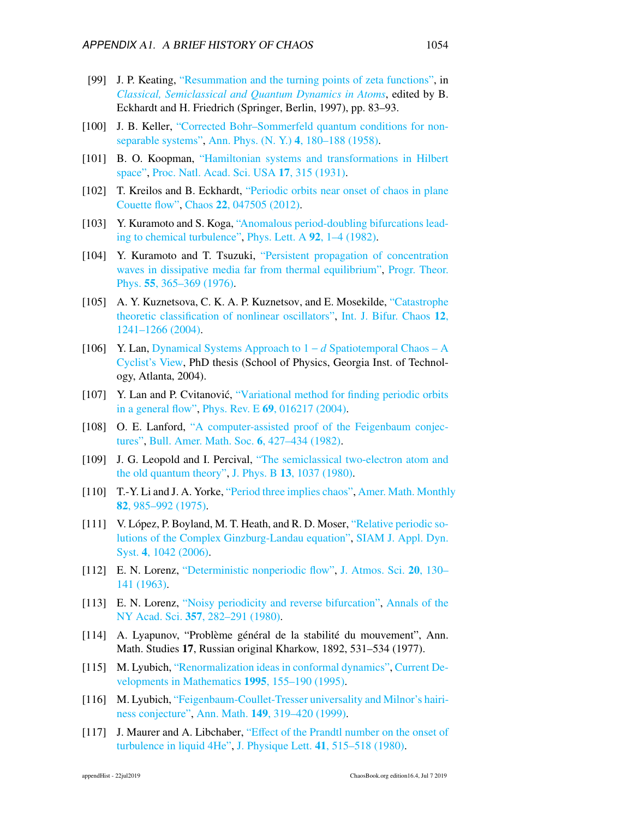- [99] J. P. Keating, ["Resummation and the turning points of zeta functions",](http://dx.doi.org/10.1007/BFb0105970) in *[Classical, Semiclassical and Quantum Dynamics in Atoms](http://dx.doi.org/10.1007/BFb0105970)*, edited by B. Eckhardt and H. Friedrich (Springer, Berlin, 1997), pp. 83–93.
- [100] J. B. Keller, ["Corrected Bohr–Sommerfeld quantum conditions for non](http://dx.doi.org/10.1016/0003-4916(58)90032-0)[separable systems",](http://dx.doi.org/10.1016/0003-4916(58)90032-0) [Ann. Phys. \(N. Y.\)](http://dx.doi.org/10.1016/0003-4916(58)90032-0) 4, 180–188 (1958).
- [101] B. O. Koopman, ["Hamiltonian systems and transformations in Hilbert](http://dx.doi.org/10.1073/pnas.17.5.315) [space",](http://dx.doi.org/10.1073/pnas.17.5.315) [Proc. Natl. Acad. Sci. USA](http://dx.doi.org/10.1073/pnas.17.5.315) 17, 315 (1931).
- [102] T. Kreilos and B. Eckhardt, ["Periodic orbits near onset of chaos in plane](http://dx.doi.org/10.1063/1.4757227) [Couette flow",](http://dx.doi.org/10.1063/1.4757227) Chaos 22[, 047505 \(2012\).](http://dx.doi.org/10.1063/1.4757227)
- <span id="page-9-1"></span>[103] Y. Kuramoto and S. Koga, ["Anomalous period-doubling bifurcations lead](http://dx.doi.org/10.1016/0375-9601(82)90725-3)[ing to chemical turbulence",](http://dx.doi.org/10.1016/0375-9601(82)90725-3) [Phys. Lett. A](http://dx.doi.org/10.1016/0375-9601(82)90725-3) 92, 1–4 (1982).
- [104] Y. Kuramoto and T. Tsuzuki, ["Persistent propagation of concentration](http://dx.doi.org/10.1143/PTP.55.356) [waves in dissipative media far from thermal equilibrium",](http://dx.doi.org/10.1143/PTP.55.356) [Progr. Theor.](http://dx.doi.org/10.1143/PTP.55.356) Phys. 55[, 365–369 \(1976\).](http://dx.doi.org/10.1143/PTP.55.356)
- <span id="page-9-2"></span>[105] A. Y. Kuznetsova, C. K. A. P. Kuznetsov, and E. Mosekilde, ["Catastrophe](http://dx.doi.org/10.1142/S0218127404009995) [theoretic classification of nonlinear oscillators",](http://dx.doi.org/10.1142/S0218127404009995) [Int. J. Bifur. Chaos](http://dx.doi.org/10.1142/S0218127404009995) 12, [1241–1266 \(2004\).](http://dx.doi.org/10.1142/S0218127404009995)
- [106] Y. Lan, [Dynamical Systems Approach to 1](http://ChaosBook.org/projects/theses.html) − *d* Spatiotemporal Chaos A [Cyclist's View,](http://ChaosBook.org/projects/theses.html) PhD thesis (School of Physics, Georgia Inst. of Technology, Atlanta, 2004).
- [107] Y. Lan and P. Cvitanović, ["Variational method for finding periodic orbits](http://dx.doi.org/10.1103/PhysRevE.69.016217) [in a general flow",](http://dx.doi.org/10.1103/PhysRevE.69.016217) Phys. Rev. E 69[, 016217 \(2004\).](http://dx.doi.org/10.1103/PhysRevE.69.016217)
- <span id="page-9-4"></span>[108] O. E. Lanford, ["A computer-assisted proof of the Feigenbaum conjec](http://dx.doi.org/10.1090/S0273-0979-1982-15008-X)[tures",](http://dx.doi.org/10.1090/S0273-0979-1982-15008-X) [Bull. Amer. Math. Soc.](http://dx.doi.org/10.1090/S0273-0979-1982-15008-X) 6, 427–434 (1982).
- [109] J. G. Leopold and I. Percival, ["The semiclassical two-electron atom and](http://dx.doi.org/10.1088/0022-3700/13/6/012) [the old quantum theory",](http://dx.doi.org/10.1088/0022-3700/13/6/012) J. Phys. B 13[, 1037 \(1980\).](http://dx.doi.org/10.1088/0022-3700/13/6/012)
- [110] T.-Y. Li and J. A. Yorke, ["Period three implies chaos",](http://dx.doi.org/10.1080/00029890.1975.11994008) [Amer. Math. Monthl](http://dx.doi.org/10.1080/00029890.1975.11994008)y 82[, 985–992 \(1975\).](http://dx.doi.org/10.1080/00029890.1975.11994008)
- [111] V. López, P. Boyland, M. T. Heath, and R. D. Moser, ["Relative periodic so](http://dx.doi.org/10.1137/040618977)[lutions of the Complex Ginzburg-Landau equation",](http://dx.doi.org/10.1137/040618977) [SIAM J. Appl. Dyn.](http://dx.doi.org/10.1137/040618977) Syst. 4[, 1042 \(2006\).](http://dx.doi.org/10.1137/040618977)
- [112] E. N. Lorenz, ["Deterministic nonperiodic flow",](http://dx.doi.org/10.1175/1520-0469(1963)020<0130:DNF>2.0.CO;2) [J. Atmos. Sci.](http://dx.doi.org/10.1175/1520-0469(1963)020<0130:DNF>2.0.CO;2) 20, 130– [141 \(1963\).](http://dx.doi.org/10.1175/1520-0469(1963)020<0130:DNF>2.0.CO;2)
- <span id="page-9-0"></span>[113] E. N. Lorenz, ["Noisy periodicity and reverse bifurcation",](http://dx.doi.org/10.1111/j.1749-6632.1980.tb29693.x) [Annals of the](http://dx.doi.org/10.1111/j.1749-6632.1980.tb29693.x) NY Acad. Sci. 357[, 282–291 \(1980\).](http://dx.doi.org/10.1111/j.1749-6632.1980.tb29693.x)
- [114] A. Lyapunov, "Problème général de la stabilité du mouvement", Ann. Math. Studies 17, Russian original Kharkow, 1892, 531–534 (1977).
- <span id="page-9-5"></span>[115] M. Lyubich, ["Renormalization ideas in conformal dynamics",](http://dx.doi.org/10.4310/cdm.1995.v1995.n1.a2) [Current De](http://dx.doi.org/10.4310/cdm.1995.v1995.n1.a2)[velopments in Mathematics](http://dx.doi.org/10.4310/cdm.1995.v1995.n1.a2) 1995, 155–190 (1995).
- <span id="page-9-6"></span>[116] M. Lyubich, ["Feigenbaum-Coullet-Tresser universality and Milnor's hairi](http://dx.doi.org/10.2307/120968)[ness conjecture",](http://dx.doi.org/10.2307/120968) Ann. Math. 149[, 319–420 \(1999\).](http://dx.doi.org/10.2307/120968)
- <span id="page-9-3"></span>[117] J. Maurer and A. Libchaber, "Eff[ect of the Prandtl number on the onset of](http://dx.doi.org/10.1051/jphyslet:019800041021051500) [turbulence in liquid 4He",](http://dx.doi.org/10.1051/jphyslet:019800041021051500) J. Physique Lett. 41[, 515–518 \(1980\).](http://dx.doi.org/10.1051/jphyslet:019800041021051500)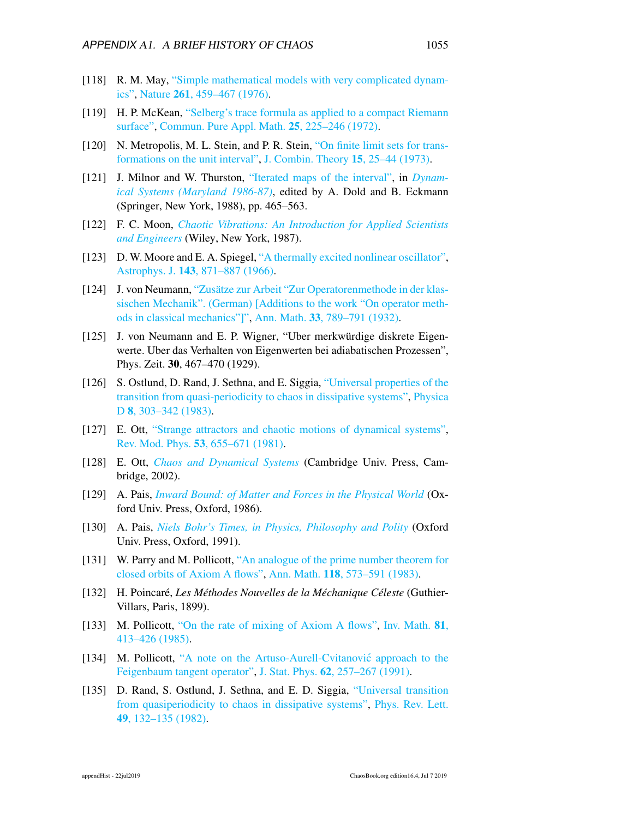- <span id="page-10-0"></span>[118] R. M. May, ["Simple mathematical models with very complicated dynam](http://dx.doi.org/10.1038/261459a0)[ics",](http://dx.doi.org/10.1038/261459a0) Nature 261[, 459–467 \(1976\).](http://dx.doi.org/10.1038/261459a0)
- [119] H. P. McKean, ["Selberg's trace formula as applied to a compact Riemann](http://dx.doi.org/10.1002/cpa.3160250302) [surface",](http://dx.doi.org/10.1002/cpa.3160250302) [Commun. Pure Appl. Math.](http://dx.doi.org/10.1002/cpa.3160250302) 25, 225–246 (1972).
- [120] N. Metropolis, M. L. Stein, and P. R. Stein, ["On finite limit sets for trans](http://dx.doi.org/10.1016/0097-3165(73)90033-2)[formations on the unit interval",](http://dx.doi.org/10.1016/0097-3165(73)90033-2) [J. Combin. Theory](http://dx.doi.org/10.1016/0097-3165(73)90033-2) 15, 25–44 (1973).
- [121] J. Milnor and W. Thurston, ["Iterated maps of the interval",](http://dx.doi.org/10.1007/BFb0082847) in *[Dynam](http://dx.doi.org/10.1007/BFb0082847)[ical Systems \(Maryland 1986-87\)](http://dx.doi.org/10.1007/BFb0082847)*, edited by A. Dold and B. Eckmann (Springer, New York, 1988), pp. 465–563.
- <span id="page-10-1"></span>[122] F. C. Moon, *[Chaotic Vibrations: An Introduction for Applied Scientists](http://dx.doi.org/10.1002/3527602844) [and Engineers](http://dx.doi.org/10.1002/3527602844)* (Wiley, New York, 1987).
- [123] D. W. Moore and E. A. Spiegel, ["A thermally excited nonlinear oscillator",](http://dx.doi.org/10.1086/148562) Astrophys. J. 143[, 871–887 \(1966\).](http://dx.doi.org/10.1086/148562)
- [124] J. von Neumann, ["Zusätze zur Arbeit "Zur Operatorenmethode in der klas](http://dx.doi.org/10.2307/1968225)[sischen Mechanik". \(German\) \[Additions to the work "On operator meth](http://dx.doi.org/10.2307/1968225)[ods in classical mechanics"\]",](http://dx.doi.org/10.2307/1968225) Ann. Math. 33[, 789–791 \(1932\).](http://dx.doi.org/10.2307/1968225)
- [125] J. von Neumann and E. P. Wigner, "Uber merkwürdige diskrete Eigenwerte. Uber das Verhalten von Eigenwerten bei adiabatischen Prozessen", Phys. Zeit. 30, 467–470 (1929).
- <span id="page-10-2"></span>[126] S. Ostlund, D. Rand, J. Sethna, and E. Siggia, ["Universal properties of the](http://dx.doi.org/10.1016/0167-2789(83)90229-4) [transition from quasi-periodicity to chaos in dissipative systems",](http://dx.doi.org/10.1016/0167-2789(83)90229-4) [Physica](http://dx.doi.org/10.1016/0167-2789(83)90229-4) D **8**[, 303–342 \(1983\).](http://dx.doi.org/10.1016/0167-2789(83)90229-4)
- <span id="page-10-4"></span>[127] E. Ott, ["Strange attractors and chaotic motions of dynamical systems",](http://dx.doi.org/10.1007/978-0-387-21830-4_9) Rev. Mod. Phys. 53[, 655–671 \(1981\).](http://dx.doi.org/10.1007/978-0-387-21830-4_9)
- [128] E. Ott, *[Chaos and Dynamical Systems](http://dx.doi.org/10.1017/cbo9780511803260)* (Cambridge Univ. Press, Cambridge, 2002).
- [129] A. Pais, *[Inward Bound: of Matter and Forces in the Physical World](http://dx.doi.org/10.1063/1.2815127)* (Oxford Univ. Press, Oxford, 1986).
- [130] A. Pais, *[Niels Bohr's Times, in Physics, Philosophy and Polity](http://dx.doi.org/10.1063/1.2809577)* (Oxford Univ. Press, Oxford, 1991).
- [131] W. Parry and M. Pollicott, ["An analogue of the prime number theorem for](http://www.jstor.org/stable/2006982) [closed orbits of Axiom A flows",](http://www.jstor.org/stable/2006982) Ann. Math. 118[, 573–591 \(1983\).](http://www.jstor.org/stable/2006982)
- [132] H. Poincaré, *Les Méthodes Nouvelles de la Méchanique Céleste* (Guthier-Villars, Paris, 1899).
- [133] M. Pollicott, ["On the rate of mixing of Axiom A flows",](http://dx.doi.org/10.1007/BF01388579) [Inv. Math.](http://dx.doi.org/10.1007/BF01388579) 81, [413–426 \(1985\).](http://dx.doi.org/10.1007/BF01388579)
- [134] M. Pollicott, "A note on the Artuso-Aurell-Cvitanović approach to the [Feigenbaum tangent operator",](http://dx.doi.org/10.1007/BF01020869) J. Stat. Phys. 62[, 257–267 \(1991\).](http://dx.doi.org/10.1007/BF01020869)
- <span id="page-10-3"></span>[135] D. Rand, S. Ostlund, J. Sethna, and E. D. Siggia, ["Universal transition](http://dx.doi.org/10.1103/physrevlett.49.132) [from quasiperiodicity to chaos in dissipative systems",](http://dx.doi.org/10.1103/physrevlett.49.132) [Phys. Rev. Lett.](http://dx.doi.org/10.1103/physrevlett.49.132) 49[, 132–135 \(1982\).](http://dx.doi.org/10.1103/physrevlett.49.132)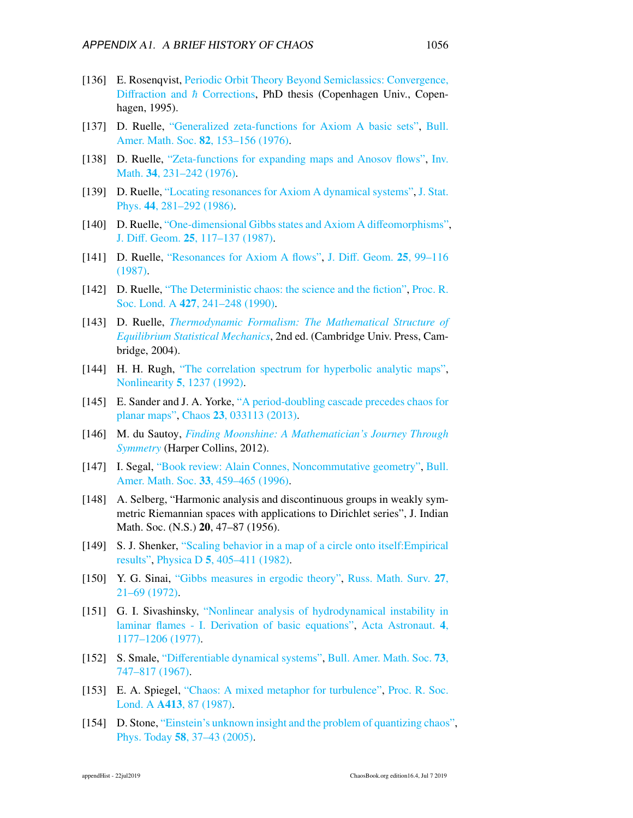- [136] E. Rosenqvist, [Periodic Orbit Theory Beyond Semiclassics: Convergence,](ChaosBook.org/projects/theses.html) Diffraction and  $\hbar$  [Corrections,](ChaosBook.org/projects/theses.html) PhD thesis (Copenhagen Univ., Copenhagen, 1995).
- [137] D. Ruelle, ["Generalized zeta-functions for Axiom A basic sets",](http://dx.doi.org/10.1090/S0002-9904-1976-14003-7) [Bull.](http://dx.doi.org/10.1090/S0002-9904-1976-14003-7) [Amer. Math. Soc.](http://dx.doi.org/10.1090/S0002-9904-1976-14003-7) 82, 153–156 (1976).
- [138] D. Ruelle, ["Zeta-functions for expanding maps and Anosov flows",](http://dx.doi.org/10.1007/bf01403069) [Inv.](http://dx.doi.org/10.1007/bf01403069) Math. 34[, 231–242 \(1976\).](http://dx.doi.org/10.1007/bf01403069)
- [139] D. Ruelle, ["Locating resonances for Axiom A dynamical systems",](http://dx.doi.org/10.1007/BF01011300) [J. Stat.](http://dx.doi.org/10.1007/BF01011300) Phys. 44[, 281–292 \(1986\).](http://dx.doi.org/10.1007/BF01011300)
- [140] D. Ruelle, ["One-dimensional Gibbs states and Axiom A di](http://projecteuclid.org/euclid.jdg/1214440727)ffeomorphisms", J. Diff. Geom. 25[, 117–137 \(1987\).](http://projecteuclid.org/euclid.jdg/1214440727)
- [141] D. Ruelle, ["Resonances for Axiom A flows",](http://projecteuclid.org/euclid.jdg/1214440726) J. Diff. Geom. 25[, 99–116](http://projecteuclid.org/euclid.jdg/1214440726) [\(1987\).](http://projecteuclid.org/euclid.jdg/1214440726)
- [142] D. Ruelle, ["The Deterministic chaos: the science and the fiction",](http://dx.doi.org/10.1098/rspa.1990.0010) [Proc. R.](http://dx.doi.org/10.1098/rspa.1990.0010) Soc. Lond. A 427[, 241–248 \(1990\).](http://dx.doi.org/10.1098/rspa.1990.0010)
- [143] D. Ruelle, *[Thermodynamic Formalism: The Mathematical Structure of](http://dx.doi.org/10.1017/cbo9780511617546) [Equilibrium Statistical Mechanics](http://dx.doi.org/10.1017/cbo9780511617546)*, 2nd ed. (Cambridge Univ. Press, Cambridge, 2004).
- [144] H. H. Rugh, ["The correlation spectrum for hyperbolic analytic maps",](http://dx.doi.org/10.1088/0951-7715/5/6/003) Nonlinearity 5[, 1237 \(1992\).](http://dx.doi.org/10.1088/0951-7715/5/6/003)
- <span id="page-11-0"></span>[145] E. Sander and J. A. Yorke, ["A period-doubling cascade precedes chaos for](http://dx.doi.org/10.1063/1.4813600) [planar maps",](http://dx.doi.org/10.1063/1.4813600) Chaos 23[, 033113 \(2013\).](http://dx.doi.org/10.1063/1.4813600)
- [146] M. du Sautoy, *[Finding Moonshine: A Mathematician's Journey Through](http://books.google.com/books?vid=ISBN9780007380879) [Symmetry](http://books.google.com/books?vid=ISBN9780007380879)* (Harper Collins, 2012).
- [147] I. Segal, ["Book review: Alain Connes, Noncommutative geometry",](http://dx.doi.org/10.1090/S0273-0979-96-00687-8) [Bull.](http://dx.doi.org/10.1090/S0273-0979-96-00687-8) [Amer. Math. Soc.](http://dx.doi.org/10.1090/S0273-0979-96-00687-8) 33, 459–465 (1996).
- [148] A. Selberg, "Harmonic analysis and discontinuous groups in weakly symmetric Riemannian spaces with applications to Dirichlet series", J. Indian Math. Soc. (N.S.) 20, 47–87 (1956).
- <span id="page-11-1"></span>[149] S. J. Shenker, ["Scaling behavior in a map of a circle onto itself:Empirical](http://dx.doi.org/10.1016/0167-2789(82)90033-1) [results",](http://dx.doi.org/10.1016/0167-2789(82)90033-1) Physica D 5[, 405–411 \(1982\).](http://dx.doi.org/10.1016/0167-2789(82)90033-1)
- [150] Y. G. Sinai, ["Gibbs measures in ergodic theory",](http://dx.doi.org/10.1070/RM1972v027n04ABEH001383) [Russ. Math. Surv.](http://dx.doi.org/10.1070/RM1972v027n04ABEH001383) 27, [21–69 \(1972\).](http://dx.doi.org/10.1070/RM1972v027n04ABEH001383)
- [151] G. I. Sivashinsky, ["Nonlinear analysis of hydrodynamical instability in](http://dx.doi.org/10.1016/0094-5765(77)90096-0) [laminar flames - I. Derivation of basic equations",](http://dx.doi.org/10.1016/0094-5765(77)90096-0) [Acta Astronaut.](http://dx.doi.org/10.1016/0094-5765(77)90096-0) 4, [1177–1206 \(1977\).](http://dx.doi.org/10.1016/0094-5765(77)90096-0)
- [152] S. Smale, "Diff[erentiable dynamical systems",](http://dx.doi.org/10.1090/S0002-9904-1967-11798-1) [Bull. Amer. Math. Soc.](http://dx.doi.org/10.1090/S0002-9904-1967-11798-1) 73, [747–817 \(1967\).](http://dx.doi.org/10.1090/S0002-9904-1967-11798-1)
- [153] E. A. Spiegel, ["Chaos: A mixed metaphor for turbulence",](http://dx.doi.org/10.1515/9781400860197.87) [Proc. R. Soc.](http://dx.doi.org/10.1515/9781400860197.87) Lond. A A413[, 87 \(1987\).](http://dx.doi.org/10.1515/9781400860197.87)
- [154] D. Stone, ["Einstein's unknown insight and the problem of quantizing chaos",](http://dx.doi.org/10.1063/1.2062917) Phys. Today 58[, 37–43 \(2005\).](http://dx.doi.org/10.1063/1.2062917)